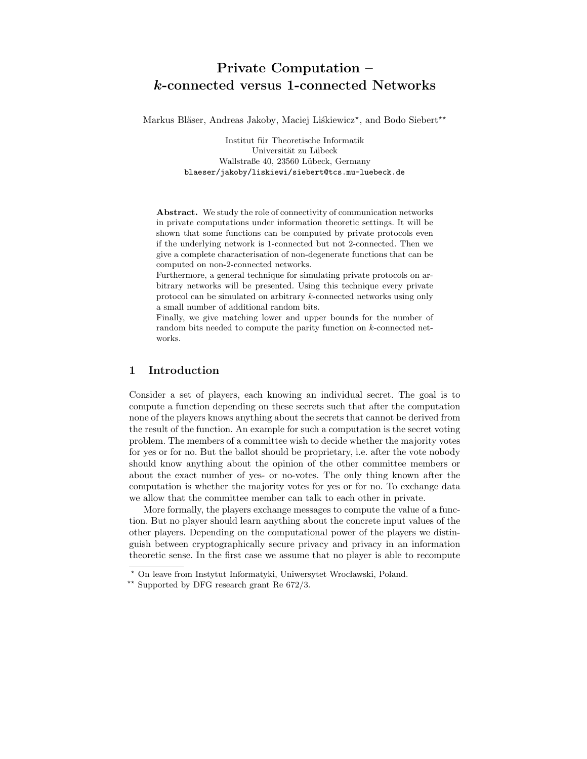# Private Computation – k-connected versus 1-connected Networks

Markus Bläser, Andreas Jakoby, Maciej Liśkiewicz\*, and Bodo Siebert\*\*

Institut für Theoretische Informatik Universität zu Lübeck Wallstraße 40, 23560 Lübeck, Germany blaeser/jakoby/liskiewi/siebert@tcs.mu-luebeck.de

Abstract. We study the role of connectivity of communication networks in private computations under information theoretic settings. It will be shown that some functions can be computed by private protocols even if the underlying network is 1-connected but not 2-connected. Then we give a complete characterisation of non-degenerate functions that can be computed on non-2-connected networks.

Furthermore, a general technique for simulating private protocols on arbitrary networks will be presented. Using this technique every private protocol can be simulated on arbitrary k-connected networks using only a small number of additional random bits.

Finally, we give matching lower and upper bounds for the number of random bits needed to compute the parity function on k-connected networks.

# 1 Introduction

Consider a set of players, each knowing an individual secret. The goal is to compute a function depending on these secrets such that after the computation none of the players knows anything about the secrets that cannot be derived from the result of the function. An example for such a computation is the secret voting problem. The members of a committee wish to decide whether the majority votes for yes or for no. But the ballot should be proprietary, i.e. after the vote nobody should know anything about the opinion of the other committee members or about the exact number of yes- or no-votes. The only thing known after the computation is whether the majority votes for yes or for no. To exchange data we allow that the committee member can talk to each other in private.

More formally, the players exchange messages to compute the value of a function. But no player should learn anything about the concrete input values of the other players. Depending on the computational power of the players we distinguish between cryptographically secure privacy and privacy in an information theoretic sense. In the first case we assume that no player is able to recompute

<sup>\*</sup> On leave from Instytut Informatyki, Uniwersytet Wrocławski, Poland.

<sup>\*\*</sup> Supported by DFG research grant Re  $672/3$ .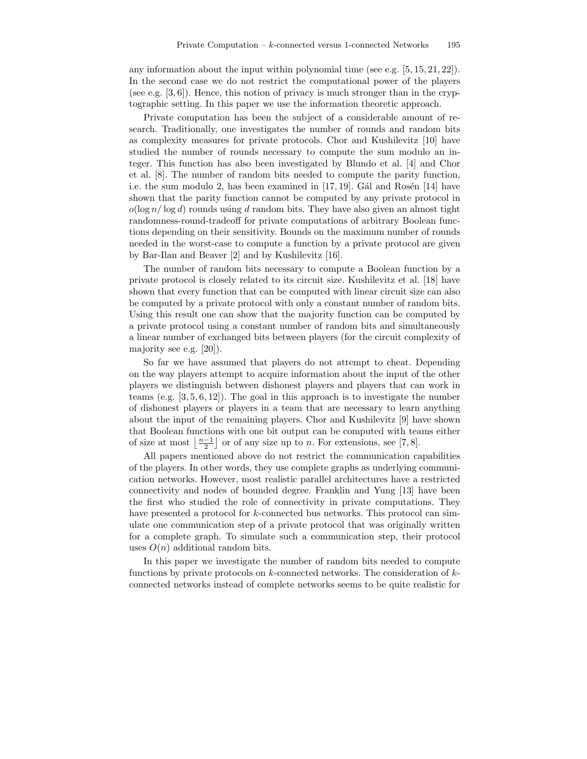any information about the input within polynomial time (see e.g.  $[5, 15, 21, 22]$ ). In the second case we do not restrict the computational power of the players (see e.g. [3, 6]). Hence, this notion of privacy is much stronger than in the cryptographic setting. In this paper we use the information theoretic approach.

Private computation has been the subject of a considerable amount of research. Traditionally, one investigates the number of rounds and random bits as complexity measures for private protocols. Chor and Kushilevitz [10] have studied the number of rounds necessary to compute the sum modulo an integer. This function has also been investigated by Blundo et al. [4] and Chor et al. [8]. The number of random bits needed to compute the parity function, i.e. the sum modulo 2, has been examined in  $[17, 19]$ . Gál and Rosén  $[14]$  have shown that the parity function cannot be computed by any private protocol in  $o(\log n/\log d)$  rounds using d random bits. They have also given an almost tight randomness-round-tradeoff for private computations of arbitrary Boolean functions depending on their sensitivity. Bounds on the maximum number of rounds needed in the worst-case to compute a function by a private protocol are given by Bar-Ilan and Beaver [2] and by Kushilevitz [16].

The number of random bits necessary to compute a Boolean function by a private protocol is closely related to its circuit size. Kushilevitz et al. [18] have shown that every function that can be computed with linear circuit size can also be computed by a private protocol with only a constant number of random bits. Using this result one can show that the majority function can be computed by a private protocol using a constant number of random bits and simultaneously a linear number of exchanged bits between players (for the circuit complexity of majority see e.g. [20]).

So far we have assumed that players do not attempt to cheat. Depending on the way players attempt to acquire information about the input of the other players we distinguish between dishonest players and players that can work in teams (e.g. [3, 5, 6, 12]). The goal in this approach is to investigate the number of dishonest players or players in a team that are necessary to learn anything about the input of the remaining players. Chor and Kushilevitz [9] have shown that Boolean functions with one bit output can be computed with teams either of size at most  $\left\lfloor \frac{n-1}{2} \right\rfloor$  or of any size up to *n*. For extensions, see [7, 8].

All papers mentioned above do not restrict the communication capabilities of the players. In other words, they use complete graphs as underlying communication networks. However, most realistic parallel architectures have a restricted connectivity and nodes of bounded degree. Franklin and Yung [13] have been the first who studied the role of connectivity in private computations. They have presented a protocol for k-connected bus networks. This protocol can simulate one communication step of a private protocol that was originally written for a complete graph. To simulate such a communication step, their protocol uses  $O(n)$  additional random bits.

In this paper we investigate the number of random bits needed to compute functions by private protocols on  $k$ -connected networks. The consideration of  $k$ connected networks instead of complete networks seems to be quite realistic for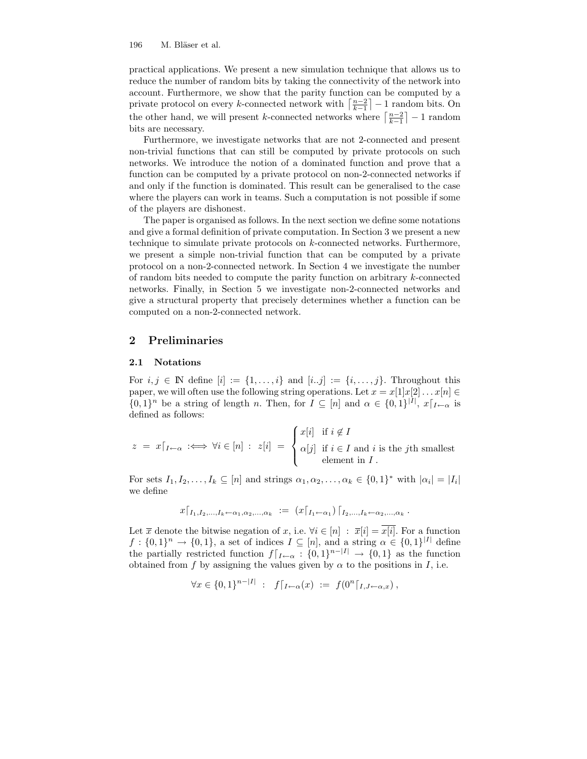practical applications. We present a new simulation technique that allows us to reduce the number of random bits by taking the connectivity of the network into account. Furthermore, we show that the parity function can be computed by a private protocol on every k-connected network with  $\left\lceil \frac{n-2}{k-1} \right\rceil - 1$  random bits. On the other hand, we will present k-connected networks where  $\left\lceil \frac{n-2}{k-1} \right\rceil - 1$  random bits are necessary.

Furthermore, we investigate networks that are not 2-connected and present non-trivial functions that can still be computed by private protocols on such networks. We introduce the notion of a dominated function and prove that a function can be computed by a private protocol on non-2-connected networks if and only if the function is dominated. This result can be generalised to the case where the players can work in teams. Such a computation is not possible if some of the players are dishonest.

The paper is organised as follows. In the next section we define some notations and give a formal definition of private computation. In Section 3 we present a new technique to simulate private protocols on k-connected networks. Furthermore, we present a simple non-trivial function that can be computed by a private protocol on a non-2-connected network. In Section 4 we investigate the number of random bits needed to compute the parity function on arbitrary  $k$ -connected networks. Finally, in Section 5 we investigate non-2-connected networks and give a structural property that precisely determines whether a function can be computed on a non-2-connected network.

#### 2 Preliminaries

#### 2.1 Notations

For  $i, j \in \mathbb{N}$  define  $[i] := \{1, \ldots, i\}$  and  $[i..j] := \{i, \ldots, j\}$ . Throughout this paper, we will often use the following string operations. Let  $x = x[1]x[2] \dots x[n] \in$  $\{0,1\}^n$  be a string of length n. Then, for  $I \subseteq [n]$  and  $\alpha \in \{0,1\}^{|I|}, x|_{I \leftarrow \alpha}$  is defined as follows:

$$
z = x|_{I \leftarrow \alpha} \iff \forall i \in [n] : z[i] = \begin{cases} x[i] & \text{if } i \notin I \\ \alpha[j] & \text{if } i \in I \text{ and } i \text{ is the } j\text{th smallest} \\ \text{element in } I \,. \end{cases}
$$

For sets  $I_1, I_2, \ldots, I_k \subseteq [n]$  and strings  $\alpha_1, \alpha_2, \ldots, \alpha_k \in \{0,1\}^*$  with  $|\alpha_i| = |I_i|$ we define

$$
x\lceil_{I_1, I_2, ..., I_k \leftarrow \alpha_1, \alpha_2, ..., \alpha_k} := (x\lceil_{I_1 \leftarrow \alpha_1}) \lceil_{I_2, ..., I_k \leftarrow \alpha_2, ..., \alpha_k}
$$

.

Let  $\overline{x}$  denote the bitwise negation of x, i.e.  $\forall i \in [n] : \overline{x}[i] = x[i]$ . For a function  $f: \{0,1\}^n \to \{0,1\}$ , a set of indices  $I \subseteq [n]$ , and a string  $\alpha \in \{0,1\}^{|I|}$  define the partially restricted function  $f|_{I\leftarrow\alpha}: \{0,1\}^{n-|I|} \to \{0,1\}$  as the function obtained from f by assigning the values given by  $\alpha$  to the positions in I, i.e.

$$
\forall x \in \{0,1\}^{n-|I|} : f|_{I \leftarrow \alpha}(x) := f(0^n|_{I, J \leftarrow \alpha, x}),
$$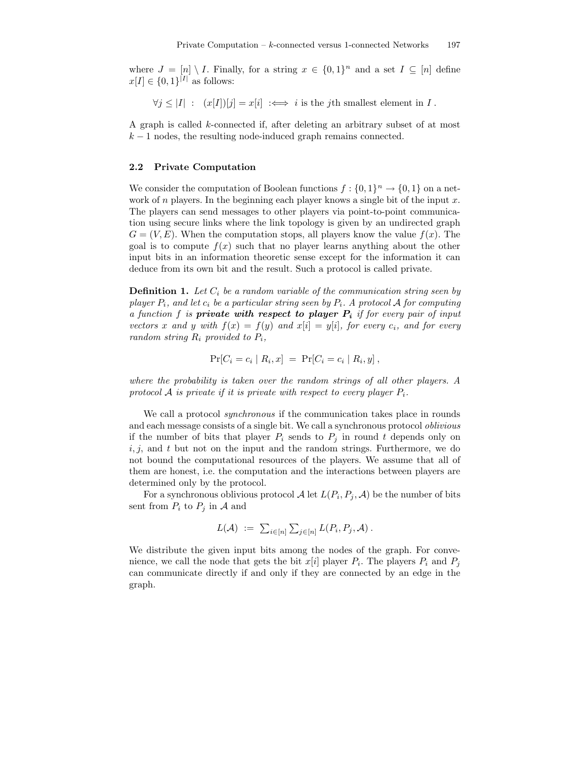where  $J = [n] \setminus I$ . Finally, for a string  $x \in \{0,1\}^n$  and a set  $I \subseteq [n]$  define  $x[I] \in \{0,1\}^{|I|}$  as follows:

 $\forall j \leq |I| : (x[I])[j] = x[i] \iff i$  is the jth smallest element in I.

A graph is called k-connected if, after deleting an arbitrary subset of at most  $k-1$  nodes, the resulting node-induced graph remains connected.

#### 2.2 Private Computation

We consider the computation of Boolean functions  $f: \{0,1\}^n \to \{0,1\}$  on a network of  $n$  players. In the beginning each player knows a single bit of the input  $x$ . The players can send messages to other players via point-to-point communication using secure links where the link topology is given by an undirected graph  $G = (V, E)$ . When the computation stops, all players know the value  $f(x)$ . The goal is to compute  $f(x)$  such that no player learns anything about the other input bits in an information theoretic sense except for the information it can deduce from its own bit and the result. Such a protocol is called private.

**Definition 1.** Let  $C_i$  be a random variable of the communication string seen by player  $P_i$ , and let  $c_i$  be a particular string seen by  $P_i$ . A protocol A for computing a function f is private with respect to player  $P_i$  if for every pair of input vectors x and y with  $f(x) = f(y)$  and  $x[i] = y[i]$ , for every  $c_i$ , and for every random string  $R_i$  provided to  $P_i$ ,

$$
Pr[C_i = c_i | R_i, x] = Pr[C_i = c_i | R_i, y],
$$

where the probability is taken over the random strings of all other players. A protocol A is private if it is private with respect to every player  $P_i$ .

We call a protocol synchronous if the communication takes place in rounds and each message consists of a single bit. We call a synchronous protocol oblivious if the number of bits that player  $P_i$  sends to  $P_j$  in round t depends only on  $i, j$ , and t but not on the input and the random strings. Furthermore, we do not bound the computational resources of the players. We assume that all of them are honest, i.e. the computation and the interactions between players are determined only by the protocol.

For a synchronous oblivious protocol  $\mathcal A$  let  $L(P_i, P_j, \mathcal A)$  be the number of bits sent from  $P_i$  to  $P_j$  in A and

$$
L(\mathcal{A}) \; := \; \sum_{i \in [n]} \sum_{j \in [n]} L(P_i, P_j, \mathcal{A}) \; .
$$

We distribute the given input bits among the nodes of the graph. For convenience, we call the node that gets the bit  $x[i]$  player  $P_i$ . The players  $P_i$  and  $P_j$ can communicate directly if and only if they are connected by an edge in the graph.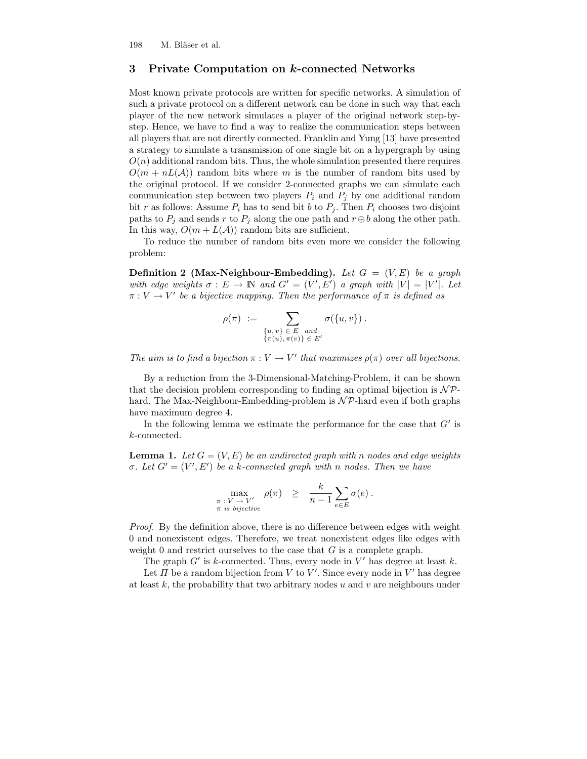### 3 Private Computation on k-connected Networks

Most known private protocols are written for specific networks. A simulation of such a private protocol on a different network can be done in such way that each player of the new network simulates a player of the original network step-bystep. Hence, we have to find a way to realize the communication steps between all players that are not directly connected. Franklin and Yung [13] have presented a strategy to simulate a transmission of one single bit on a hypergraph by using  $O(n)$  additional random bits. Thus, the whole simulation presented there requires  $O(m + nL(\mathcal{A}))$  random bits where m is the number of random bits used by the original protocol. If we consider 2-connected graphs we can simulate each communication step between two players  $P_i$  and  $P_j$  by one additional random bit r as follows: Assume  $P_i$  has to send bit b to  $P_j$ . Then  $P_i$  chooses two disjoint paths to  $P_i$  and sends r to  $P_j$  along the one path and  $r \oplus b$  along the other path. In this way,  $O(m + L(\mathcal{A}))$  random bits are sufficient.

To reduce the number of random bits even more we consider the following problem:

**Definition 2** (Max-Neighbour-Embedding). Let  $G = (V, E)$  be a graph with edge weights  $\sigma : E \to \mathbb{N}$  and  $G' = (V', E')$  a graph with  $|V| = |V'|$ . Let  $\pi: V \to V'$  be a bijective mapping. Then the performance of  $\pi$  is defined as

$$
\rho(\pi) := \sum_{\substack{\{u,v\} \in E \text{ and } \{u(u,v)\} \in E'}} \sigma(\{u,v\}) .
$$

The aim is to find a bijection  $\pi : V \to V'$  that maximizes  $\rho(\pi)$  over all bijections.

By a reduction from the 3-Dimensional-Matching-Problem, it can be shown that the decision problem corresponding to finding an optimal bijection is  $\mathcal{NP}$ hard. The Max-Neighbour-Embedding-problem is  $N\mathcal{P}$ -hard even if both graphs have maximum degree 4.

In the following lemma we estimate the performance for the case that  $G'$  is k-connected.

**Lemma 1.** Let  $G = (V, E)$  be an undirected graph with n nodes and edge weights σ. Let  $G' = (V', E')$  be a k-connected graph with n nodes. Then we have

$$
\max_{\substack{\pi \; : \; V \to V' \\ \pi \; is \; bijective}} \; \rho(\pi) \;\; \geq \;\; \frac{k}{n-1} \sum_{e \in E} \sigma(e) \; .
$$

Proof. By the definition above, there is no difference between edges with weight 0 and nonexistent edges. Therefore, we treat nonexistent edges like edges with weight 0 and restrict ourselves to the case that  $G$  is a complete graph.

The graph  $G'$  is k-connected. Thus, every node in  $V'$  has degree at least k.

Let  $\Pi$  be a random bijection from  $V$  to  $V'$ . Since every node in  $V'$  has degree at least  $k$ , the probability that two arbitrary nodes u and v are neighbours under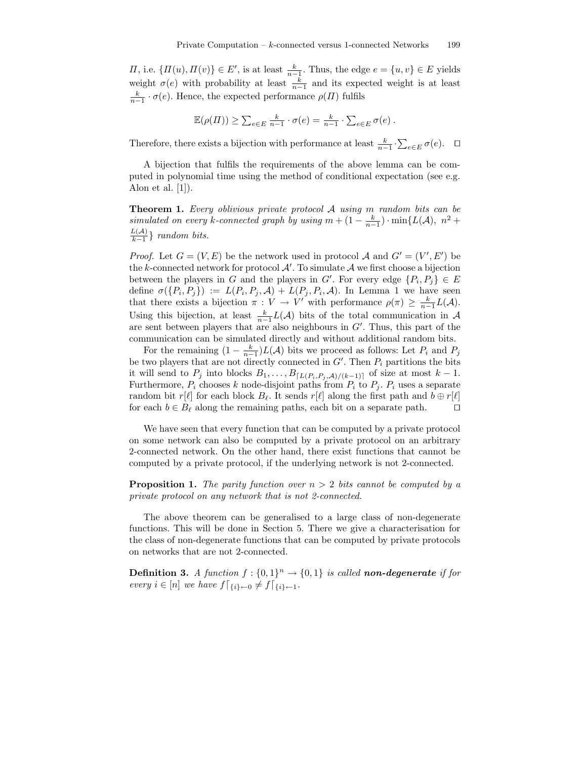*Π*, i.e.  $\{H(u), H(v)\}\in E'$ , is at least  $\frac{k}{n-1}$ . Thus, the edge  $e = \{u, v\} \in E$  yields weight  $\sigma(e)$  with probability at least  $\frac{k}{n-1}$  and its expected weight is at least  $\frac{k}{n-1} \cdot \sigma(e)$ . Hence, the expected performance  $\rho(\Pi)$  fulfils

$$
\mathbb{E}(\rho(\Pi)) \ge \sum_{e \in E} \frac{k}{n-1} \cdot \sigma(e) = \frac{k}{n-1} \cdot \sum_{e \in E} \sigma(e) .
$$

Therefore, there exists a bijection with performance at least  $\frac{k}{n-1} \cdot \sum_{e \in E} \sigma(e)$ .  $\Box$ 

A bijection that fulfils the requirements of the above lemma can be computed in polynomial time using the method of conditional expectation (see e.g. Alon et al.  $[1]$ .

Theorem 1. Every oblivious private protocol A using m random bits can be simulated on every k-connected graph by using  $m + (1 - \frac{k}{n-1}) \cdot \min\{L(\mathcal{A}), n^2 + \}$  $L(\mathcal{A})$  $\frac{\mu(A)}{k-1}$ } random bits.

*Proof.* Let  $G = (V, E)$  be the network used in protocol A and  $G' = (V', E')$  be the k-connected network for protocol  $\mathcal{A}'$ . To simulate  $\mathcal{A}$  we first choose a bijection between the players in G and the players in G'. For every edge  $\{P_i, P_j\} \in E$ define  $\sigma(\lbrace P_i, P_j \rbrace) := L(P_i, P_j, \mathcal{A}) + L(P_j, P_i, \mathcal{A})$ . In Lemma 1 we have seen that there exists a bijection  $\pi: V \to V'$  with performance  $\rho(\pi) \geq \frac{k}{n-1}L(\mathcal{A})$ . Using this bijection, at least  $\frac{k}{n-1}L(\mathcal{A})$  bits of the total communication in  $\mathcal{A}$ are sent between players that are also neighbours in  $G'$ . Thus, this part of the communication can be simulated directly and without additional random bits.

For the remaining  $(1 - \frac{k}{n-1})L(\mathcal{A})$  bits we proceed as follows: Let  $P_i$  and  $P_j$ be two players that are not directly connected in  $G'$ . Then  $P_i$  partitions the bits it will send to  $P_j$  into blocks  $B_1, \ldots, B_{\lceil L(P_i, P_j, A)/(k-1) \rceil}$  of size at most  $k - 1$ . Furthermore,  $P_i$  chooses k node-disjoint paths from  $P_i$  to  $P_j$ .  $P_i$  uses a separate random bit r[ $\ell$ ] for each block  $B_\ell$ . It sends r[ $\ell$ ] along the first path and  $b \oplus r[\ell]$ for each  $b \in B_\ell$  along the remaining paths, each bit on a separate path.  $\square$ 

We have seen that every function that can be computed by a private protocol on some network can also be computed by a private protocol on an arbitrary 2-connected network. On the other hand, there exist functions that cannot be computed by a private protocol, if the underlying network is not 2-connected.

**Proposition 1.** The parity function over  $n > 2$  bits cannot be computed by a private protocol on any network that is not 2-connected.

The above theorem can be generalised to a large class of non-degenerate functions. This will be done in Section 5. There we give a characterisation for the class of non-degenerate functions that can be computed by private protocols on networks that are not 2-connected.

**Definition 3.** A function  $f: \{0,1\}^n \rightarrow \{0,1\}$  is called **non-degenerate** if for every  $i \in [n]$  we have  $f\vert_{\{i\} \leftarrow 0} \neq f\vert_{\{i\} \leftarrow 1}$ .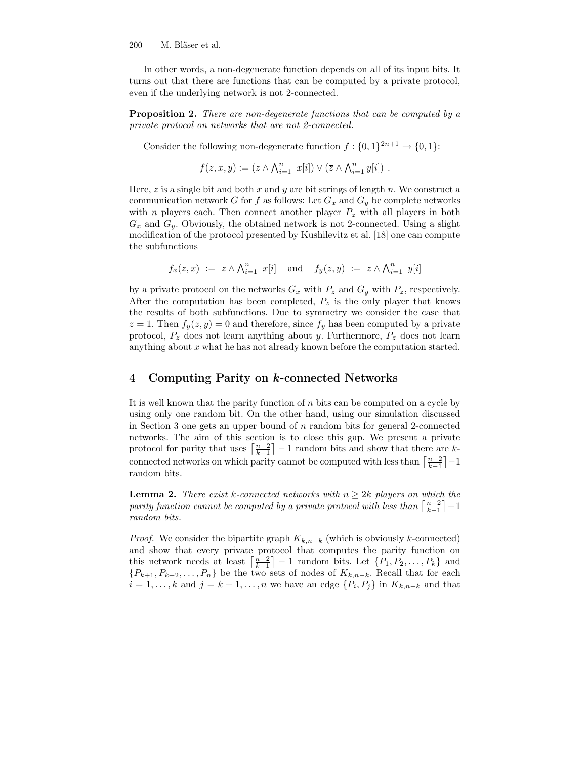In other words, a non-degenerate function depends on all of its input bits. It turns out that there are functions that can be computed by a private protocol, even if the underlying network is not 2-connected.

**Proposition 2.** There are non-degenerate functions that can be computed by a private protocol on networks that are not 2-connected.

Consider the following non-degenerate function  $f: \{0,1\}^{2n+1} \to \{0,1\}$ :

$$
f(z, x, y) := (z \wedge \bigwedge_{i=1}^{n} x[i]) \vee (\overline{z} \wedge \bigwedge_{i=1}^{n} y[i]) .
$$

Here, z is a single bit and both x and y are bit strings of length n. We construct a communication network G for f as follows: Let  $G_x$  and  $G_y$  be complete networks with *n* players each. Then connect another player  $P_z$  with all players in both  $G_x$  and  $G_y$ . Obviously, the obtained network is not 2-connected. Using a slight modification of the protocol presented by Kushilevitz et al. [18] one can compute the subfunctions

$$
f_x(z,x) := z \wedge \bigwedge_{i=1}^n x[i]
$$
 and  $f_y(z,y) := \overline{z} \wedge \bigwedge_{i=1}^n y[i]$ 

by a private protocol on the networks  $G_x$  with  $P_z$  and  $G_y$  with  $P_z$ , respectively. After the computation has been completed,  $P_z$  is the only player that knows the results of both subfunctions. Due to symmetry we consider the case that  $z = 1$ . Then  $f_y(z, y) = 0$  and therefore, since  $f_y$  has been computed by a private protocol,  $P_z$  does not learn anything about y. Furthermore,  $P_z$  does not learn anything about  $x$  what he has not already known before the computation started.

#### 4 Computing Parity on k-connected Networks

It is well known that the parity function of  $n$  bits can be computed on a cycle by using only one random bit. On the other hand, using our simulation discussed in Section 3 one gets an upper bound of  $n$  random bits for general 2-connected networks. The aim of this section is to close this gap. We present a private protocol for parity that uses  $\left\lceil \frac{n-2}{k-1} \right\rceil - 1$  random bits and show that there are kconnected networks on which parity cannot be computed with less than  $\lceil \frac{n-2}{k-1} \rceil - 1$ random bits.

**Lemma 2.** There exist k-connected networks with  $n \geq 2k$  players on which the parity function cannot be computed by a private protocol with less than  $\lceil \frac{n-2}{k-1} \rceil - 1$ random bits.

*Proof.* We consider the bipartite graph  $K_{k,n-k}$  (which is obviously k-connected) and show that every private protocol that computes the parity function on this network needs at least  $\left\lceil \frac{n-2}{k-1} \right\rceil - 1$  random bits. Let  $\{P_1, P_2, \ldots, P_k\}$  and  ${P_{k+1}, P_{k+2}, \ldots, P_n}$  be the two sets of nodes of  $K_{k,n-k}$ . Recall that for each  $i = 1, \ldots, k$  and  $j = k + 1, \ldots, n$  we have an edge  $\{P_i, P_j\}$  in  $K_{k,n-k}$  and that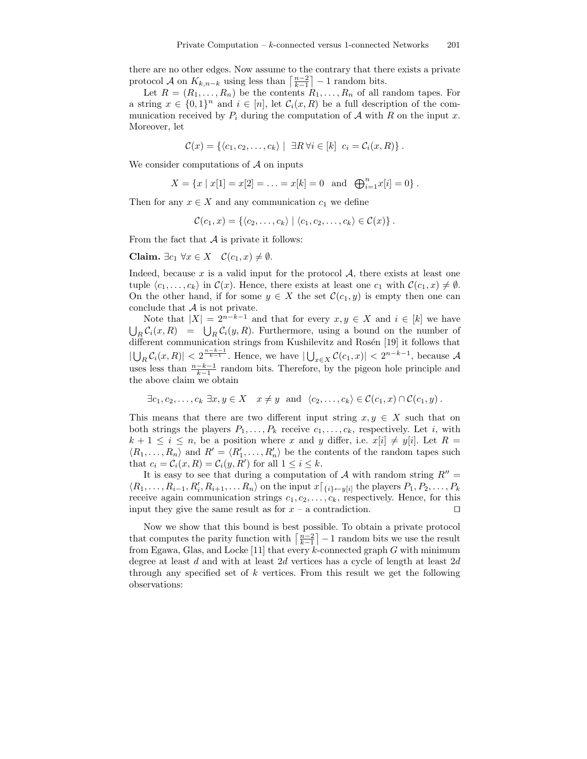there are no other edges. Now assume to the contrary that there exists a private protocol A on  $K_{k,n-k}$  using less than  $\left\lceil \frac{n-2}{k-1} \right\rceil - 1$  random bits.

Let  $R = (R_1, \ldots, R_n)$  be the contents  $R_1, \ldots, R_n$  of all random tapes. For a string  $x \in \{0,1\}^n$  and  $i \in [n]$ , let  $\mathcal{C}_i(x,R)$  be a full description of the communication received by  $P_i$  during the computation of  $A$  with  $R$  on the input  $x$ . Moreover, let

$$
\mathcal{C}(x) = \{ \langle c_1, c_2, \ldots, c_k \rangle \mid \exists R \, \forall i \in [k] \, c_i = \mathcal{C}_i(x, R) \}.
$$

We consider computations of  $A$  on inputs

$$
X = \{x \mid x[1] = x[2] = \ldots = x[k] = 0 \text{ and } \bigoplus_{i=1}^{n} x[i] = 0\}.
$$

Then for any  $x \in X$  and any communication  $c_1$  we define

 $\mathcal{C}(c_1, x) = \{ \langle c_2, \ldots, c_k \rangle \mid \langle c_1, c_2, \ldots, c_k \rangle \in \mathcal{C}(x) \}.$ 

From the fact that  $A$  is private it follows:

Claim.  $\exists c_1 \forall x \in X \quad \mathcal{C}(c_1, x) \neq \emptyset$ .

Indeed, because  $x$  is a valid input for the protocol  $A$ , there exists at least one tuple  $\langle c_1, \ldots, c_k \rangle$  in  $\mathcal{C}(x)$ . Hence, there exists at least one  $c_1$  with  $\mathcal{C}(c_1, x) \neq \emptyset$ . On the other hand, if for some  $y \in X$  the set  $\mathcal{C}(c_1, y)$  is empty then one can conclude that  $A$  is not private.

Note that  $|X| = 2^{n-k-1}$  and that for every  $x, y \in X$  and  $i \in [k]$  we have  $\bigcup_R C_i(x,R) = \bigcup_R C_i(y,R)$ . Furthermore, using a bound on the number of different communication strings from Kushilevitz and Rosén [19] it follows that  $|\bigcup_R \mathcal{C}_i(x,R)| < 2^{\frac{n-k-1}{k-1}}$ . Hence, we have  $|\bigcup_{x \in X} \mathcal{C}(c_1,x)| < 2^{n-k-1}$ , because A uses less than  $\frac{n-k-1}{k-1}$  random bits. Therefore, by the pigeon hole principle and the above claim we obtain

$$
\exists c_1, c_2, \ldots, c_k \exists x, y \in X \quad x \neq y \text{ and } \langle c_2, \ldots, c_k \rangle \in \mathcal{C}(c_1, x) \cap \mathcal{C}(c_1, y).
$$

This means that there are two different input string  $x, y \in X$  such that on both strings the players  $P_1, \ldots, P_k$  receive  $c_1, \ldots, c_k$ , respectively. Let i, with  $k + 1 \leq i \leq n$ , be a position where x and y differ, i.e.  $x[i] \neq y[i]$ . Let  $R =$  $\langle R_1, \ldots, R_n \rangle$  and  $R' = \langle R'_1, \ldots, R'_n \rangle$  be the contents of the random tapes such that  $c_i = C_i(x, R) = C_i(y, R')$  for all  $1 \le i \le k$ .

It is easy to see that during a computation of  $A$  with random string  $R'' =$  $\langle R_1, \ldots, R_{i-1}, R'_i, R_{i+1}, \ldots, R_n \rangle$  on the input  $x \lceil_{\{i\} \leftarrow y[i]}$  the players  $P_1, P_2, \ldots, P_k$ receive again communication strings  $c_1, c_2, \ldots, c_k$ , respectively. Hence, for this input they give the same result as for  $x - a$  contradiction.  $\square$ 

Now we show that this bound is best possible. To obtain a private protocol that computes the parity function with  $\left\lceil \frac{n-2}{k-1} \right\rceil - 1$  random bits we use the result from Egawa, Glas, and Locke [11] that every  $k$ -connected graph  $G$  with minimum degree at least d and with at least  $2d$  vertices has a cycle of length at least  $2d$ through any specified set of  $k$  vertices. From this result we get the following observations: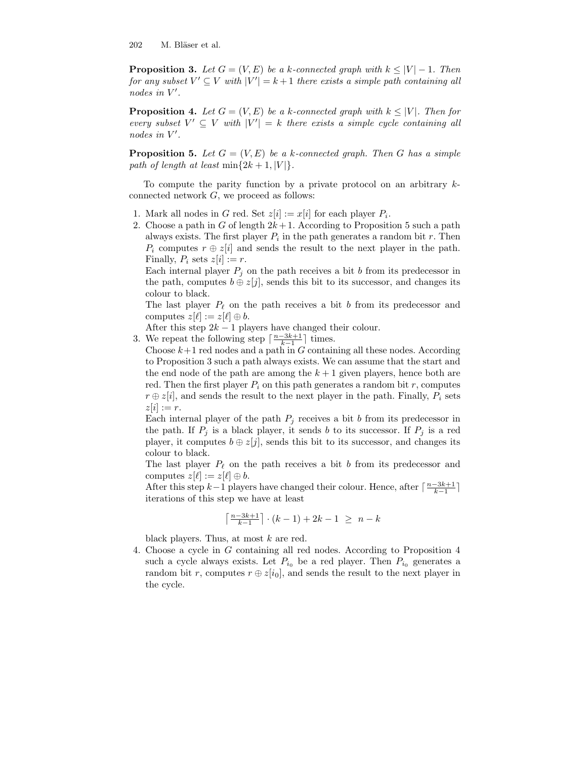**Proposition 3.** Let  $G = (V, E)$  be a k-connected graph with  $k \leq |V| - 1$ . Then for any subset  $V' \subseteq V$  with  $|V'| = k+1$  there exists a simple path containing all nodes in  $V'$ .

**Proposition 4.** Let  $G = (V, E)$  be a k-connected graph with  $k \leq |V|$ . Then for every subset  $V' \subseteq V$  with  $|V'| = k$  there exists a simple cycle containing all nodes in  $V'$ .

**Proposition 5.** Let  $G = (V, E)$  be a k-connected graph. Then G has a simple path of length at least  $\min\{2k+1, |V|\}.$ 

To compute the parity function by a private protocol on an arbitrary kconnected network G, we proceed as follows:

- 1. Mark all nodes in G red. Set  $z[i] := x[i]$  for each player  $P_i$ .
- 2. Choose a path in G of length  $2k+1$ . According to Proposition 5 such a path always exists. The first player  $P_i$  in the path generates a random bit r. Then  $P_i$  computes  $r \oplus z[i]$  and sends the result to the next player in the path. Finally,  $P_i$  sets  $z[i] := r$ .

Each internal player  $P_j$  on the path receives a bit b from its predecessor in the path, computes  $b \oplus z[j]$ , sends this bit to its successor, and changes its colour to black.

The last player  $P_\ell$  on the path receives a bit b from its predecessor and computes  $z[\ell] := z[\ell] \oplus b$ .

After this step  $2k - 1$  players have changed their colour.

3. We repeat the following step  $\lceil \frac{n-3k+1}{k-1} \rceil$  times.

Choose  $k+1$  red nodes and a path in G containing all these nodes. According to Proposition 3 such a path always exists. We can assume that the start and the end node of the path are among the  $k+1$  given players, hence both are red. Then the first player  $P_i$  on this path generates a random bit r, computes  $r \oplus z[i]$ , and sends the result to the next player in the path. Finally,  $P_i$  sets  $z[i] := r$ .

Each internal player of the path  $P_j$  receives a bit b from its predecessor in the path. If  $P_j$  is a black player, it sends b to its successor. If  $P_j$  is a red player, it computes  $b \oplus z[j]$ , sends this bit to its successor, and changes its colour to black.

The last player  $P_\ell$  on the path receives a bit b from its predecessor and computes  $z[\ell] := z[\ell] \oplus b$ .

After this step  $k-1$  players have changed their colour. Hence, after  $\lceil \frac{n-3k+1}{k-1} \rceil$ iterations of this step we have at least

$$
\left\lceil\tfrac{n-3k+1}{k-1}\right\rceil\cdot (k-1)+2k-1 ~\geq~ n-k
$$

black players. Thus, at most k are red.

4. Choose a cycle in G containing all red nodes. According to Proposition 4 such a cycle always exists. Let  $P_{i_0}$  be a red player. Then  $P_{i_0}$  generates a random bit r, computes  $r \oplus z[i_0]$ , and sends the result to the next player in the cycle.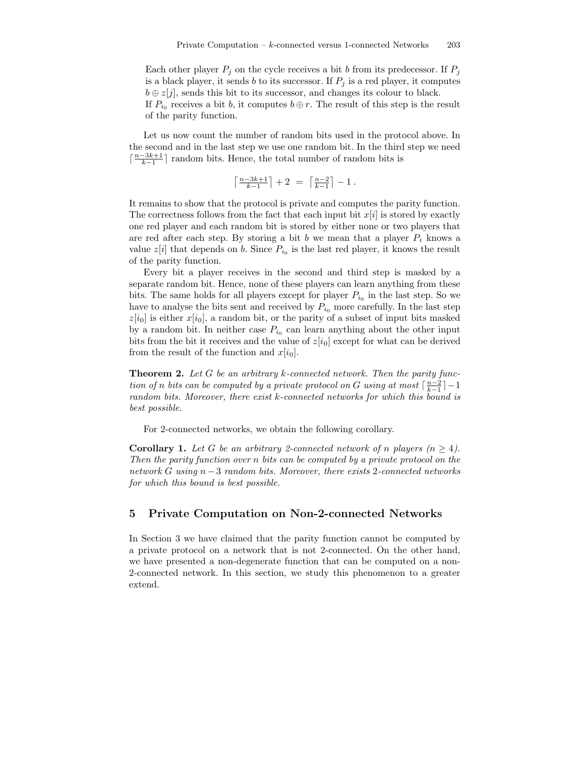Each other player  $P_i$  on the cycle receives a bit b from its predecessor. If  $P_i$ is a black player, it sends b to its successor. If  $P_j$  is a red player, it computes  $b \oplus z[j]$ , sends this bit to its successor, and changes its colour to black. If  $P_{i_0}$  receives a bit b, it computes  $b \oplus r$ . The result of this step is the result of the parity function.

Let us now count the number of random bits used in the protocol above. In the second and in the last step we use one random bit. In the third step we need  $\lceil \frac{n-3k+1}{k-1} \rceil$  random bits. Hence, the total number of random bits is

$$
\left\lceil\tfrac{n-3k+1}{k-1}\right\rceil+2 ~=~ \left\lceil\tfrac{n-2}{k-1}\right\rceil-1{\,}.
$$

It remains to show that the protocol is private and computes the parity function. The correctness follows from the fact that each input bit  $x[i]$  is stored by exactly one red player and each random bit is stored by either none or two players that are red after each step. By storing a bit b we mean that a player  $P_i$  knows a value  $z[i]$  that depends on b. Since  $P_{i_0}$  is the last red player, it knows the result of the parity function.

Every bit a player receives in the second and third step is masked by a separate random bit. Hence, none of these players can learn anything from these bits. The same holds for all players except for player  $P_{i_0}$  in the last step. So we have to analyse the bits sent and received by  $P_{i_0}$  more carefully. In the last step  $z[i_0]$  is either  $x[i_0]$ , a random bit, or the parity of a subset of input bits masked by a random bit. In neither case  $P_{i_0}$  can learn anything about the other input bits from the bit it receives and the value of  $z[i_0]$  except for what can be derived from the result of the function and  $x[i_0]$ .

**Theorem 2.** Let G be an arbitrary k-connected network. Then the parity function of n bits can be computed by a private protocol on G using at most  $\lceil \frac{n-2}{k-1} \rceil - 1$ random bits. Moreover, there exist k-connected networks for which this bound is best possible.

For 2-connected networks, we obtain the following corollary.

**Corollary 1.** Let G be an arbitrary 2-connected network of n players  $(n \geq 4)$ . Then the parity function over n bits can be computed by a private protocol on the network G using  $n-3$  random bits. Moreover, there exists 2-connected networks for which this bound is best possible.

### 5 Private Computation on Non-2-connected Networks

In Section 3 we have claimed that the parity function cannot be computed by a private protocol on a network that is not 2-connected. On the other hand, we have presented a non-degenerate function that can be computed on a non-2-connected network. In this section, we study this phenomenon to a greater extend.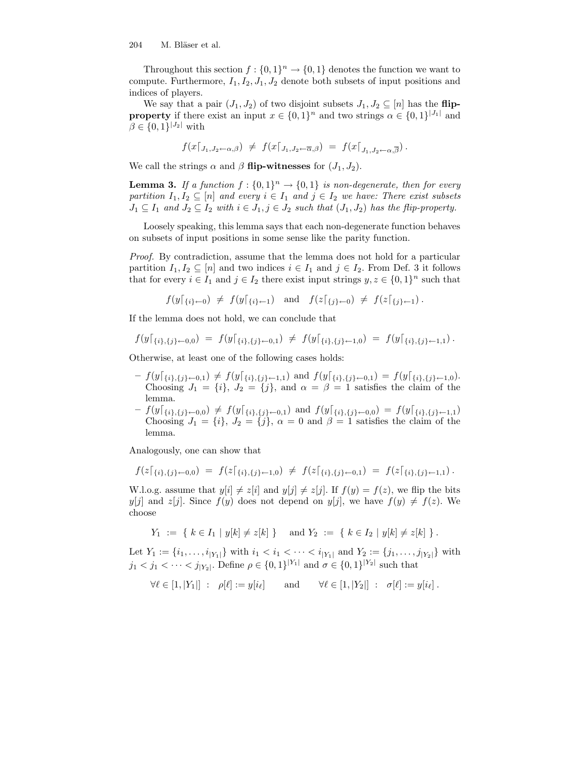Throughout this section  $f: \{0,1\}^n \to \{0,1\}$  denotes the function we want to compute. Furthermore,  $I_1, I_2, J_1, J_2$  denote both subsets of input positions and indices of players.

We say that a pair  $(J_1, J_2)$  of two disjoint subsets  $J_1, J_2 \subseteq [n]$  has the flip**property** if there exist an input  $x \in \{0,1\}^n$  and two strings  $\alpha \in \{0,1\}^{|J_1|}$  and  $\beta \in \{0,1\}^{|J_2|}$  with

$$
f(x[<_{J_1,J_2\leftarrow \alpha,\beta}) \neq f(x[<_{J_1,J_2\leftarrow \overline{\alpha},\beta}) = f(x[<_{J_1,J_2\leftarrow \alpha,\overline{\beta}}).
$$

We call the strings  $\alpha$  and  $\beta$  flip-witnesses for  $(J_1, J_2)$ .

**Lemma 3.** If a function  $f: \{0,1\}^n \to \{0,1\}$  is non-degenerate, then for every partition  $I_1, I_2 \subseteq [n]$  and every  $i \in I_1$  and  $j \in I_2$  we have: There exist subsets  $J_1 \subseteq I_1$  and  $J_2 \subseteq I_2$  with  $i \in J_1, j \in J_2$  such that  $(J_1, J_2)$  has the flip-property.

Loosely speaking, this lemma says that each non-degenerate function behaves on subsets of input positions in some sense like the parity function.

Proof. By contradiction, assume that the lemma does not hold for a particular partition  $I_1, I_2 \subseteq [n]$  and two indices  $i \in I_1$  and  $j \in I_2$ . From Def. 3 it follows that for every  $i \in I_1$  and  $j \in I_2$  there exist input strings  $y, z \in \{0, 1\}^n$  such that

$$
f(y|_{\{i\}\leftarrow 0}) \neq f(y|_{\{i\}\leftarrow 1})
$$
 and  $f(z|_{\{j\}\leftarrow 0}) \neq f(z|_{\{j\}\leftarrow 1})$ .

If the lemma does not hold, we can conclude that

$$
f(y|_{\{i\},\{j\}\leftarrow 0,0}) = f(y|_{\{i\},\{j\}\leftarrow 0,1}) \neq f(y|_{\{i\},\{j\}\leftarrow 1,0}) = f(y|_{\{i\},\{j\}\leftarrow 1,1}).
$$

Otherwise, at least one of the following cases holds:

- $-f(y|_{\{i\},\{j\}\leftarrow0,1}) \neq f(y|_{\{i\},\{j\}\leftarrow1,1})$  and  $f(y|_{\{i\},\{j\}\leftarrow0,1}) = f(y|_{\{i\},\{j\}\leftarrow1,0}).$ Choosing  $J_1 = \{i\}, J_2 = \{j\}, \text{ and } \alpha = \beta = 1 \text{ satisfies the claim of the }$ lemma.
- $-f(y|_{\{i\},\{j\}\leftarrow0,0}) \neq f(y|_{\{i\},\{j\}\leftarrow0,1})$  and  $f(y|_{\{i\},\{j\}\leftarrow0,0}) = f(y|_{\{i\},\{j\}\leftarrow1,1})$ Choosing  $J_1 = \{i\}, J_2 = \{j\}, \alpha = 0 \text{ and } \beta = 1 \text{ satisfies the claim of the }$ lemma.

Analogously, one can show that

$$
f(z|_{\{i\},\{j\}\leftarrow 0,0}) = f(z|_{\{i\},\{j\}\leftarrow 1,0}) \neq f(z|_{\{i\},\{j\}\leftarrow 0,1}) = f(z|_{\{i\},\{j\}\leftarrow 1,1}).
$$

W.l.o.g. assume that  $y[i] \neq z[i]$  and  $y[j] \neq z[j]$ . If  $f(y) = f(z)$ , we flip the bits  $y[j]$  and  $z[j]$ . Since  $f(y)$  does not depend on  $y[j]$ , we have  $f(y) \neq f(z)$ . We choose

$$
Y_1 := \{ k \in I_1 | y[k] \neq z[k] \}
$$
 and  $Y_2 := \{ k \in I_2 | y[k] \neq z[k] \}$ .

Let  $Y_1 := \{i_1, \ldots, i_{|Y_1|}\}$  with  $i_1 < i_1 < \cdots < i_{|Y_1|}$  and  $Y_2 := \{j_1, \ldots, j_{|Y_2|}\}$  with  $j_1 < j_1 < \cdots < j_{|Y_2|}$ . Define  $\rho \in \{0,1\}^{|Y_1|}$  and  $\sigma \in \{0,1\}^{|Y_2|}$  such that

$$
\forall \ell \in [1, |Y_1|] : \rho[\ell] := y[i_\ell] \quad \text{and} \quad \forall \ell \in [1, |Y_2|] : \sigma[\ell] := y[i_\ell].
$$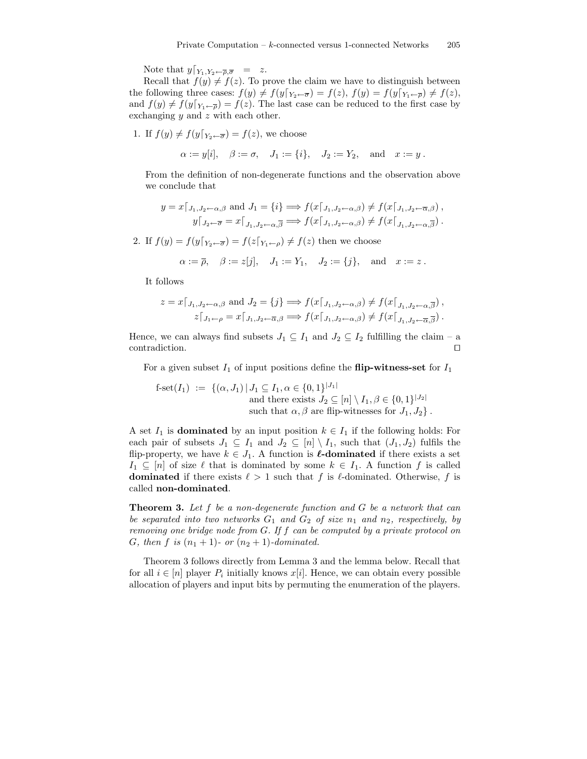Note that  $y|_{Y_1,Y_2\leftarrow\overline{\rho},\overline{\sigma}}$  = z.

Recall that  $f(y) \neq f(z)$ . To prove the claim we have to distinguish between the following three cases:  $f(y) \neq f(y|_{Y_2 \leftarrow \overline{\sigma}}) = f(z), f(y) = f(y|_{Y_1 \leftarrow \overline{\rho}}) \neq f(z),$ and  $f(y) \neq f(y|_{Y_1 \leftarrow \overline{\rho}}) = f(z)$ . The last case can be reduced to the first case by exchanging  $y$  and  $z$  with each other.

1. If  $f(y) \neq f(y|_{Y_2 \leftarrow \overline{\sigma}}) = f(z)$ , we choose

 $\alpha := y[i], \quad \beta := \sigma, \quad J_1 := \{i\}, \quad J_2 := Y_2, \quad \text{and} \quad x := y$ .

From the definition of non-degenerate functions and the observation above we conclude that

$$
y = x \lceil_{J_1, J_2 \leftarrow \alpha, \beta} \text{ and } J_1 = \{i\} \Longrightarrow f(x \lceil_{J_1, J_2 \leftarrow \alpha, \beta}) \neq f(x \lceil_{J_1, J_2 \leftarrow \overline{\alpha}, \beta}) ,
$$
  

$$
y \lceil_{J_2 \leftarrow \overline{\sigma}} = x \lceil_{J_1, J_2 \leftarrow \alpha, \overline{\beta}} \Longrightarrow f(x \lceil_{J_1, J_2 \leftarrow \alpha, \beta}) \neq f(x \lceil_{J_1, J_2 \leftarrow \alpha, \overline{\beta}}).
$$

2. If  $f(y) = f(y|_{Y_2 \leftarrow \overline{\sigma}}) = f(z|_{Y_1 \leftarrow \rho}) \neq f(z)$  then we choose

$$
\alpha := \overline{\rho}, \quad \beta := z[j], \quad J_1 := Y_1, \quad J_2 := \{j\}, \quad \text{and} \quad x := z.
$$

It follows

$$
z = x \lceil_{J_1, J_2 \leftarrow \alpha, \beta} \text{ and } J_2 = \{j\} \Longrightarrow f(x \lceil_{J_1, J_2 \leftarrow \alpha, \beta}) \neq f(x \lceil_{J_1, J_2 \leftarrow \alpha, \overline{\beta}}),
$$
  

$$
z \lceil_{J_1 \leftarrow \rho} = x \lceil_{J_1, J_2 \leftarrow \overline{\alpha}, \beta} \Longrightarrow f(x \lceil_{J_1, J_2 \leftarrow \alpha, \beta}) \neq f(x \lceil_{J_1, J_2 \leftarrow \overline{\alpha}, \overline{\beta}}).
$$

Hence, we can always find subsets  $J_1 \subseteq I_1$  and  $J_2 \subseteq I_2$  fulfilling the claim – a contradiction.  $\Box$ 

For a given subset  $I_1$  of input positions define the **flip-witness-set** for  $I_1$ 

f-set
$$
(I_1)
$$
 := { $(\alpha, J_1) | J_1 \subseteq I_1, \alpha \in \{0, 1\}^{|J_1|}$   
and there exists  $J_2 \subseteq [n] \setminus I_1, \beta \in \{0, 1\}^{|J_2|}$   
such that  $\alpha, \beta$  are flip-witnesses for  $J_1, J_2$ .

A set  $I_1$  is **dominated** by an input position  $k \in I_1$  if the following holds: For each pair of subsets  $J_1 \subseteq I_1$  and  $J_2 \subseteq [n] \setminus I_1$ , such that  $(J_1, J_2)$  fulfils the flip-property, we have  $k \in J_1$ . A function is  $\ell$ **-dominated** if there exists a set  $I_1 \subseteq [n]$  of size  $\ell$  that is dominated by some  $k \in I_1$ . A function f is called **dominated** if there exists  $\ell > 1$  such that f is  $\ell$ -dominated. Otherwise, f is called non-dominated.

**Theorem 3.** Let f be a non-degenerate function and G be a network that can be separated into two networks  $G_1$  and  $G_2$  of size  $n_1$  and  $n_2$ , respectively, by removing one bridge node from G. If f can be computed by a private protocol on G, then f is  $(n_1 + 1)$ - or  $(n_2 + 1)$ -dominated.

Theorem 3 follows directly from Lemma 3 and the lemma below. Recall that for all  $i \in [n]$  player  $P_i$  initially knows  $x[i]$ . Hence, we can obtain every possible allocation of players and input bits by permuting the enumeration of the players.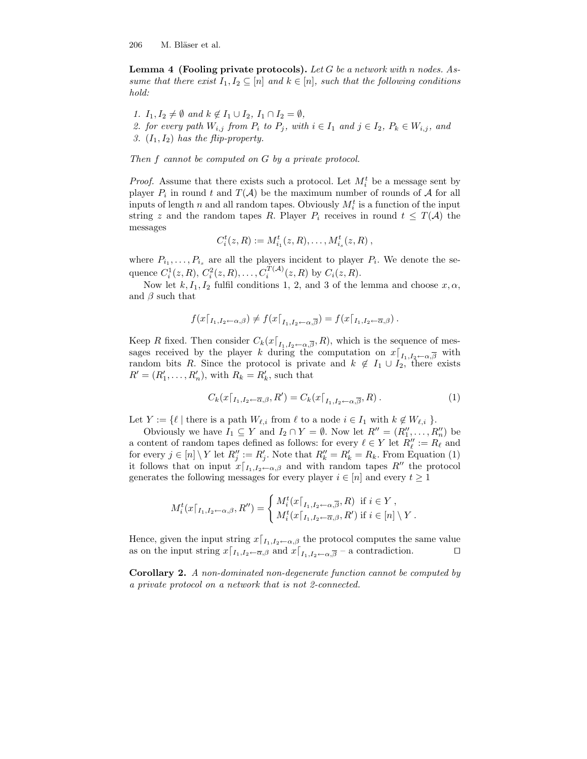**Lemma 4 (Fooling private protocols).** Let G be a network with n nodes. Assume that there exist  $I_1, I_2 \subseteq [n]$  and  $k \in [n]$ , such that the following conditions hold:

1.  $I_1, I_2 \neq \emptyset$  and  $k \notin I_1 \cup I_2$ ,  $I_1 \cap I_2 = \emptyset$ , 2. for every path  $W_{i,j}$  from  $P_i$  to  $P_j$ , with  $i \in I_1$  and  $j \in I_2$ ,  $P_k \in W_{i,j}$ , and 3.  $(I_1, I_2)$  has the flip-property.

Then f cannot be computed on G by a private protocol.

*Proof.* Assume that there exists such a protocol. Let  $M_i^t$  be a message sent by player  $P_i$  in round t and  $T(A)$  be the maximum number of rounds of A for all inputs of length n and all random tapes. Obviously  $M_i^t$  is a function of the input string z and the random tapes R. Player  $P_i$  receives in round  $t \leq T(A)$  the messages

$$
C_i^t(z, R) := M_{i_1}^t(z, R), \ldots, M_{i_s}^t(z, R) ,
$$

where  $P_{i_1}, \ldots, P_{i_s}$  are all the players incident to player  $P_i$ . We denote the sequence  $C_i^1(z, R), C_i^2(z, R), \ldots, C_i^{T(A)}(z, R)$  by  $C_i(z, R)$ .

Now let  $k, I_1, I_2$  fulfil conditions 1, 2, and 3 of the lemma and choose  $x, \alpha$ , and  $\beta$  such that

$$
f(x\lceil_{I_1,I_2\leftarrow \alpha,\beta}) \neq f(x\lceil_{I_1,I_2\leftarrow \alpha,\overline{\beta}}) = f(x\lceil_{I_1,I_2\leftarrow \overline{\alpha},\beta}).
$$

Keep R fixed. Then consider  $C_k(x|_{I_1,I_2\leftarrow \alpha,\overline{\beta}},R)$ , which is the sequence of messages received by the player k during the computation on  $x|_{I_1, I_2 \leftarrow \alpha, \overline{\beta}}$  with random bits R. Since the protocol is private and  $k \notin I_1 \cup I_2$ , there exists  $R' = (R'_1, \ldots, R'_n)$ , with  $R_k = R'_k$ , such that

$$
C_k(x\lceil_{I_1, I_2 \leftarrow \overline{\alpha}, \beta}, R') = C_k(x\lceil_{I_1, I_2 \leftarrow \alpha, \overline{\beta}}, R). \tag{1}
$$

Let  $Y := \{ \ell \mid \text{there is a path } W_{\ell,i} \text{ from } \ell \text{ to a node } i \in I_1 \text{ with } k \notin W_{\ell,i} \}.$ 

Obviously we have  $I_1 \subseteq Y$  and  $I_2 \cap Y = \emptyset$ . Now let  $R'' = (R''_1, \ldots, R''_n)$  be a content of random tapes defined as follows: for every  $\ell \in Y$  let  $R''_{\ell} := R_{\ell}$  and for every  $j \in [n] \setminus Y$  let  $R''_j := R'_j$ . Note that  $R''_k = R'_k = R_k$ . From Equation (1) it follows that on input  $x|_{I_1,I_2\leftarrow \alpha,\beta}$  and with random tapes  $R''$  the protocol generates the following messages for every player  $i \in [n]$  and every  $t \ge 1$ 

$$
M_i^t(x\lceil_{I_1,I_2\leftarrow \alpha,\beta},R'') = \begin{cases} M_i^t(x\lceil_{I_1,I_2\leftarrow \alpha,\overline{\beta}},R) & \text{if } i \in Y, \\ M_i^t(x\lceil_{I_1,I_2\leftarrow \overline{\alpha},\beta},R') & \text{if } i \in [n] \setminus Y. \end{cases}
$$

Hence, given the input string  $x|_{I_1,I_2\leftarrow \alpha,\beta}$  the protocol computes the same value as on the input string  $x|_{I_1, I_2 \leftarrow \overline{\alpha}, \beta}$  and  $x|_{I_1, I_2 \leftarrow \alpha, \overline{\beta}}$  – a contradiction.

Corollary 2. A non-dominated non-degenerate function cannot be computed by a private protocol on a network that is not 2-connected.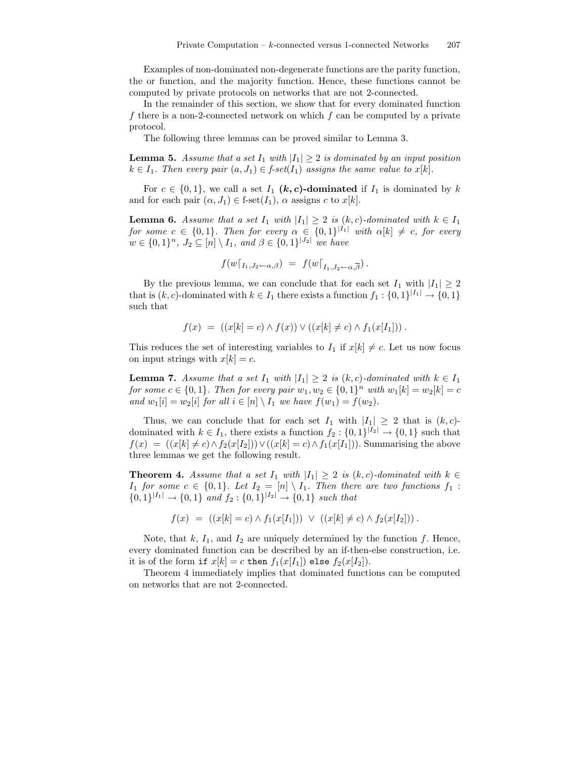Examples of non-dominated non-degenerate functions are the parity function, the or function, and the majority function. Hence, these functions cannot be computed by private protocols on networks that are not 2-connected.

In the remainder of this section, we show that for every dominated function f there is a non-2-connected network on which  $f$  can be computed by a private protocol.

The following three lemmas can be proved similar to Lemma 3.

**Lemma 5.** Assume that a set  $I_1$  with  $|I_1| \geq 2$  is dominated by an input position  $k \in I_1$ . Then every pair  $(a, J_1) \in f\text{-}set(I_1)$  assigns the same value to  $x[k]$ .

For  $c \in \{0,1\}$ , we call a set  $I_1$  (k, c)-dominated if  $I_1$  is dominated by k and for each pair  $(\alpha, J_1) \in \text{f-set}(I_1)$ ,  $\alpha$  assigns c to  $x[k]$ .

**Lemma 6.** Assume that a set  $I_1$  with  $|I_1| \geq 2$  is  $(k, c)$ -dominated with  $k \in I_1$ for some  $c \in \{0,1\}$ . Then for every  $\alpha \in \{0,1\}^{|I_1|}$  with  $\alpha[k] \neq c$ , for every  $w \in \{0,1\}^n$ ,  $J_2 \subseteq [n] \setminus I_1$ , and  $\beta \in \{0,1\}^{|J_2|}$  we have

$$
f(w|_{I_1,J_2\leftarrow \alpha,\beta}) = f(w|_{I_1,J_2\leftarrow \alpha,\overline{\beta}}).
$$

By the previous lemma, we can conclude that for each set  $I_1$  with  $|I_1| \geq 2$ that is  $(k, c)$ -dominated with  $k \in I_1$  there exists a function  $f_1: \{0,1\}^{|I_1|} \to \{0,1\}$ such that

$$
f(x) = ((x[k] = c) \land f(x)) \lor ((x[k] \neq c) \land f_1(x[I_1]))
$$

This reduces the set of interesting variables to  $I_1$  if  $x[k] \neq c$ . Let us now focus on input strings with  $x[k] = c$ .

**Lemma 7.** Assume that a set  $I_1$  with  $|I_1| \geq 2$  is  $(k, c)$ -dominated with  $k \in I_1$ for some  $c \in \{0, 1\}$ . Then for every pair  $w_1, w_2 \in \{0, 1\}^n$  with  $w_1[k] = w_2[k] = c$ and  $w_1[i] = w_2[i]$  for all  $i \in [n] \setminus I_1$  we have  $f(w_1) = f(w_2)$ .

Thus, we can conclude that for each set  $I_1$  with  $|I_1| \geq 2$  that is  $(k, c)$ dominated with  $k \in I_1$ , there exists a function  $f_2: \{0,1\}^{|I_2|} \to \{0,1\}$  such that  $f(x) = (x[k] \neq c) \land f_2(x[I_2])) \lor ((x[k] = c) \land f_1(x[I_1]))$ . Summarising the above three lemmas we get the following result.

**Theorem 4.** Assume that a set  $I_1$  with  $|I_1| \geq 2$  is  $(k, c)$ -dominated with  $k \in$  $I_1$  for some  $c \in \{0,1\}$ . Let  $I_2 = [n] \setminus I_1$ . Then there are two functions  $f_1$  :  $\{0,1\}^{|I_1|} \rightarrow \{0,1\}$  and  $f_2: \{0,1\}^{|I_2|} \rightarrow \{0,1\}$  such that

$$
f(x) = ((x[k] = c) \land f_1(x[I_1])) \lor ((x[k] \neq c) \land f_2(x[I_2]))
$$

Note, that  $k$ ,  $I_1$ , and  $I_2$  are uniquely determined by the function  $f$ . Hence, every dominated function can be described by an if-then-else construction, i.e. it is of the form if  $x[k] = c$  then  $f_1(x[I_1])$  else  $f_2(x[I_2])$ .

Theorem 4 immediately implies that dominated functions can be computed on networks that are not 2-connected.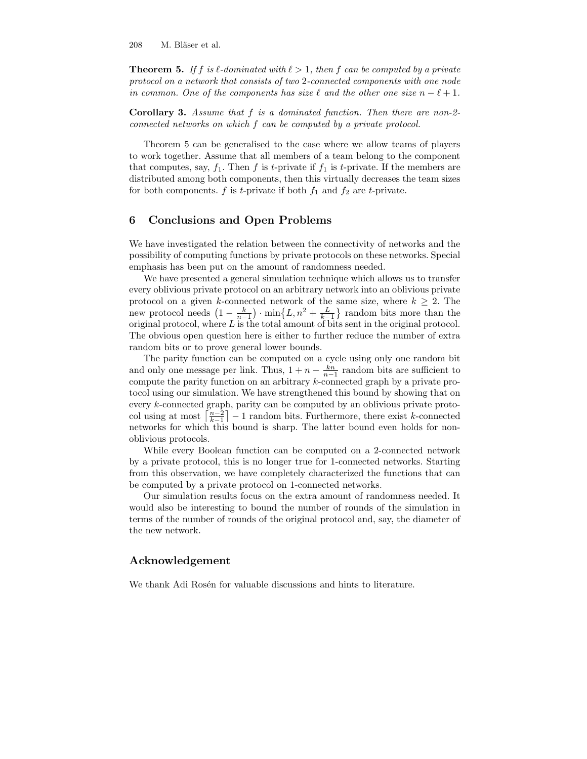**Theorem 5.** If f is  $\ell$ -dominated with  $\ell > 1$ , then f can be computed by a private protocol on a network that consists of two 2-connected components with one node in common. One of the components has size  $\ell$  and the other one size  $n - \ell + 1$ .

Corollary 3. Assume that f is a dominated function. Then there are non-2 connected networks on which f can be computed by a private protocol.

Theorem 5 can be generalised to the case where we allow teams of players to work together. Assume that all members of a team belong to the component that computes, say,  $f_1$ . Then f is t-private if  $f_1$  is t-private. If the members are distributed among both components, then this virtually decreases the team sizes for both components. f is t-private if both  $f_1$  and  $f_2$  are t-private.

## 6 Conclusions and Open Problems

We have investigated the relation between the connectivity of networks and the possibility of computing functions by private protocols on these networks. Special emphasis has been put on the amount of randomness needed.

We have presented a general simulation technique which allows us to transfer every oblivious private protocol on an arbitrary network into an oblivious private protocol on a given k-connected network of the same size, where  $k \geq 2$ . The new protocol needs  $\left(1 - \frac{k}{n-1}\right) \cdot \min\left\{L, n^2 + \frac{L}{k-1}\right\}$  random bits more than the original protocol, where L is the total amount of bits sent in the original protocol. The obvious open question here is either to further reduce the number of extra random bits or to prove general lower bounds.

The parity function can be computed on a cycle using only one random bit and only one message per link. Thus,  $1 + n - \frac{kn}{n-1}$  random bits are sufficient to compute the parity function on an arbitrary k-connected graph by a private protocol using our simulation. We have strengthened this bound by showing that on every k-connected graph, parity can be computed by an oblivious private protocol using at most  $\left\lceil \frac{n-2}{k-1} \right\rceil - 1$  random bits. Furthermore, there exist k-connected networks for which this bound is sharp. The latter bound even holds for nonoblivious protocols.

While every Boolean function can be computed on a 2-connected network by a private protocol, this is no longer true for 1-connected networks. Starting from this observation, we have completely characterized the functions that can be computed by a private protocol on 1-connected networks.

Our simulation results focus on the extra amount of randomness needed. It would also be interesting to bound the number of rounds of the simulation in terms of the number of rounds of the original protocol and, say, the diameter of the new network.

#### Acknowledgement

We thank Adi Rosén for valuable discussions and hints to literature.